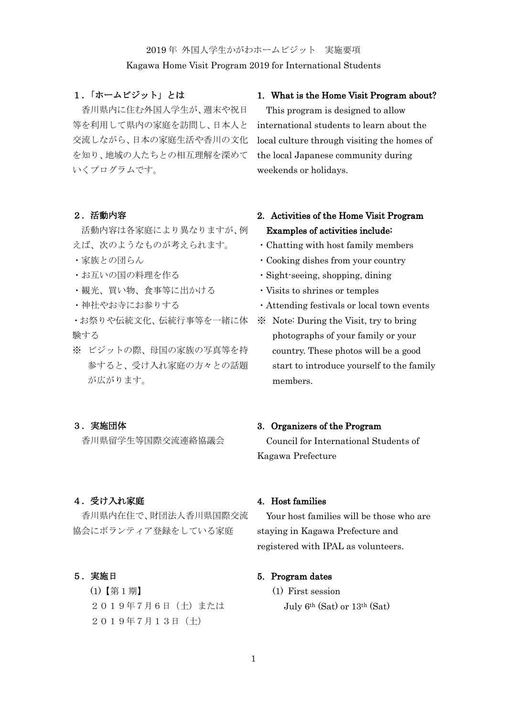#### 2019 年 外国人学生かがわホームビジット 実施要項

#### Kagawa Home Visit Program 2019 for International Students

### 1.「ホームビジット」とは

香川県内に住む外国人学生が、週末や祝日 等を利用して県内の家庭を訪問し、日本人と 交流しながら、日本の家庭生活や香川の文化 を知り、地域の人たちとの相互理解を深めて いくプログラムです。

#### 2.活動内容

活動内容は各家庭により異なりますが、例 えば、次のようなものが考えられます。

- ・家族との団らん
- ・お互いの国の料理を作る
- ・観光、買い物、食事等に出かける
- ・神社やお寺にお参りする

・お祭りや伝統文化、伝統行事等を一緒に体 験する

※ ビジットの際、母国の家族の写真等を持 参すると、受け入れ家庭の方々との話題 が広がります。

#### 3.実施団体

香川県留学生等国際交流連絡協議会

#### 4.受け入れ家庭

香川県内在住で、財団法人香川県国際交流 協会にボランティア登録をしている家庭

5.実施日

(1)【第1期】 2019年7月6日(土)または 2019年7月13日(土)

#### 1. What is the Home Visit Program about?

This program is designed to allow international students to learn about the local culture through visiting the homes of the local Japanese community during weekends or holidays.

# 2. Activities of the Home Visit Program Examples of activities include:

- ・Chatting with host family members
- ・Cooking dishes from your country
- ・Sight-seeing, shopping, dining
- ・Visits to shrines or temples
- ・Attending festivals or local town events
- ※ Note: During the Visit, try to bring photographs of your family or your country. These photos will be a good start to introduce yourself to the family members.

#### 3. Organizers of the Program

Council for International Students of Kagawa Prefecture

# 4. Host families

Your host families will be those who are staying in Kagawa Prefecture and registered with IPAL as volunteers.

### 5. Program dates

(1) First session July 6th (Sat) or 13th (Sat)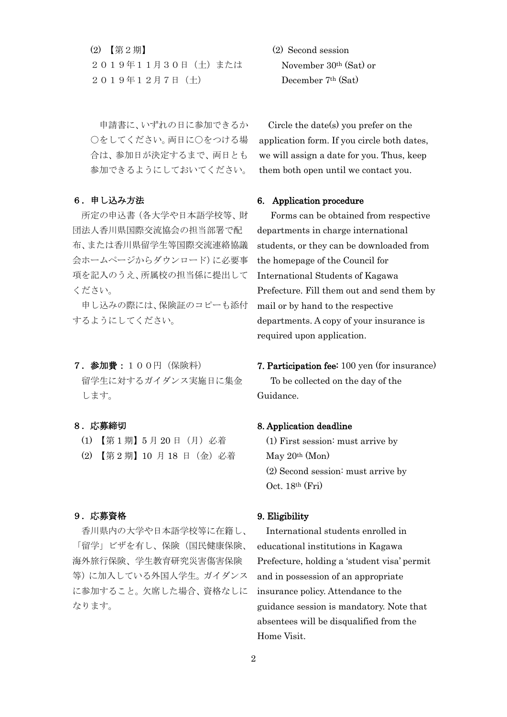(2) 【第2期】 2019年11月30日(土)または 2019年12月7日(土)

申請書に、いずれの日に参加できるか ○をしてください。両日に○をつける場 合は、参加日が決定するまで、両日とも 参加できるようにしておいてください。

### 6.申し込み方法

所定の申込書(各大学や日本語学校等、財 団法人香川県国際交流協会の担当部署で配 布、または香川県留学生等国際交流連絡協議 会ホームページからダウンロード)に必要事 項を記入のうえ、所属校の担当係に提出して ください。

申し込みの際には、保険証のコピーも添付 するようにしてください。

# 7.参加費:100円(保険料) 留学生に対するガイダンス実施日に集金 します。

#### 8.応募締切

- (1) 【第 1 期】5 月 20 日(月)必着
- (2) 【第 2 期】10 月 18 日(金)必着

#### 9.応募資格

香川県内の大学や日本語学校等に在籍し、 「留学」ビザを有し、保険(国民健康保険、 海外旅行保険、学生教育研究災害傷害保険 等)に加入している外国人学生。ガイダンス に参加すること。欠席した場合、資格なしに なります。

(2) Second session November 30th (Sat) or December 7th (Sat)

Circle the date(s) you prefer on the application form. If you circle both dates, we will assign a date for you. Thus, keep them both open until we contact you.

#### 6. Application procedure

Forms can be obtained from respective departments in charge international students, or they can be downloaded from the homepage of the Council for International Students of Kagawa Prefecture. Fill them out and send them by mail or by hand to the respective departments. A copy of your insurance is required upon application.

7. Participation fee: 100 yen (for insurance) To be collected on the day of the Guidance.

#### 8. Application deadline

(1) First session: must arrive by May 20th (Mon) (2) Second session: must arrive by Oct. 18th (Fri)

#### 9. Eligibility

International students enrolled in educational institutions in Kagawa Prefecture, holding a 'student visa' permit and in possession of an appropriate insurance policy. Attendance to the guidance session is mandatory. Note that absentees will be disqualified from the Home Visit.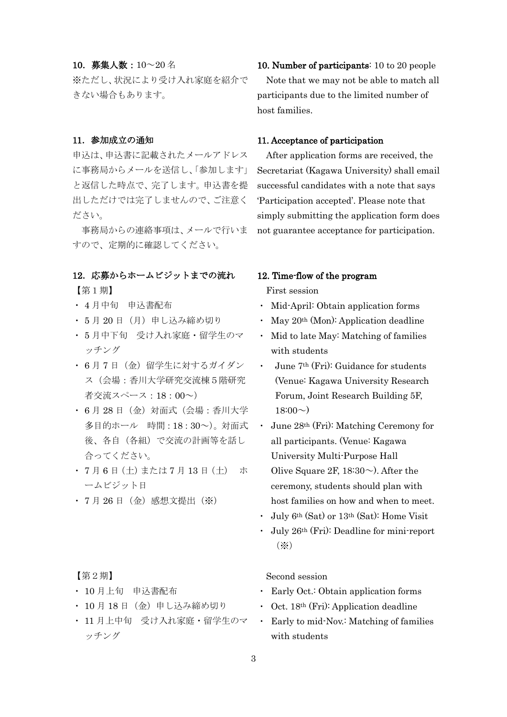#### 10.募集人数:10~20 名

※ただし、状況により受け入れ家庭を紹介で きない場合もあります。

#### 11.参加成立の通知

申込は、申込書に記載されたメールアドレス に事務局からメールを送信し、「参加します」 と返信した時点で、完了します。申込書を提 出しただけでは完了しませんので、ご注意く ださい。

事務局からの連絡事項は、メールで行いま すので、定期的に確認してください。

#### 12.応募からホームビジットまでの流れ

【第1期】

- ・ 4 月中旬 申込書配布
- ・ 5 月 20 日(月)申し込み締め切り
- ・ 5 月中下旬 受け入れ家庭・留学生のマ ッチング
- 6月7日(金)留学生に対するガイダン ス(会場:香川大学研究交流棟5階研究 者交流スペース:18:00~)
- ・ 6 月 28 日(金)対面式(会場:香川大学 多目的ホール 時間:18:30~)。対面式 後、各自(各組)で交流の計画等を話し 合ってください。
- ・ 7 月 6 日(土)または 7 月 13 日(土) ホ ームビジット日
- 7月26日 (金) 感想文提出(※)

### 【第2期】

- ・ 10 月上旬 申込書配布
- ・ 10 月 18 日(金)申し込み締め切り
- ・ 11 月上中旬 受け入れ家庭・留学生のマ ッチング

10. Number of participants: 10 to 20 people Note that we may not be able to match all participants due to the limited number of host families.

#### 11. Acceptance of participation

After application forms are received, the Secretariat (Kagawa University) shall email successful candidates with a note that says 'Participation accepted'. Please note that simply submitting the application form does not guarantee acceptance for participation.

### 12. Time-flow of the program

First session

- ・ Mid-April: Obtain application forms
- $\text{May } 20^{\text{th}} \text{ (Mon): Application deadline}$
- Mid to late May: Matching of families with students
- June 7<sup>th</sup> (Fri): Guidance for students (Venue: Kagawa University Research Forum, Joint Research Building 5F,  $18:00 \sim$
- ・ June 28th (Fri): Matching Ceremony for all participants. (Venue: Kagawa University Multi-Purpose Hall Olive Square 2F,  $18:30\sim$ ). After the ceremony, students should plan with host families on how and when to meet.
- ・ July 6th (Sat) or 13th (Sat): Home Visit
- ・ July 26th (Fri): Deadline for mini-report (※)

Second session

- ・ Early Oct.: Obtain application forms
- Oct.  $18<sup>th</sup>$  (Fri): Application deadline
- Early to mid-Nov.: Matching of families with students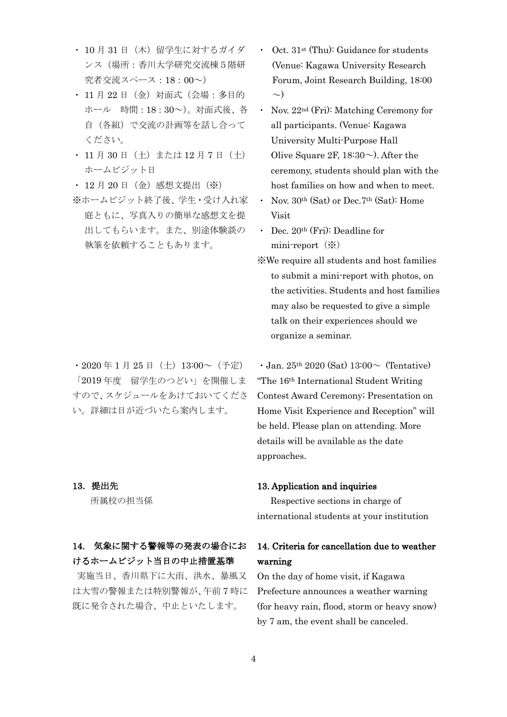- ・ 10 月 31 日(木)留学生に対するガイダ ンス(場所:香川大学研究交流棟5階研 究者交流スペース:18:00~)
- ・ 11 月 22 日(金)対面式(会場:多目的 ホール 時間:18:30~)。対面式後、各 自(各組)で交流の計画等を話し合って ください。
- 11 月 30 日 (土) または 12 月 7 日 (土) ホームビジット日
- ・ 12 月 20 日(金)感想文提出(※)
- ※ホームビジット終了後、学生・受け入れ家 庭ともに、写真入りの簡単な感想文を提 出してもらいます。また、別途体験談の 執筆を依頼することもあります。

 $\cdot$  2020 年 1 月 25 日 (土) 13:00~(予定) 「2019 年度 留学生のつどい」を開催しま すので、スケジュールをあけておいてくださ い。詳細は日が近づいたら案内します。

# 13.提出先

所属校の担当係

# 14. 気象に関する警報等の発表の場合にお けるホームビジット当日の中止措置基準

 実施当日、香川県下に大雨、洪水、暴風又 は大雪の警報または特別警報が、午前 7 時に 既に発令された場合、中止といたします。

- Oct.  $31<sup>st</sup>$  (Thu): Guidance for students (Venue: Kagawa University Research Forum, Joint Research Building, 18:00  $\sim)$
- ・ Nov. 22nd (Fri): Matching Ceremony for all participants. (Venue: Kagawa University Multi-Purpose Hall Olive Square 2F,  $18:30\sim$ ). After the ceremony, students should plan with the host families on how and when to meet.
- ・ Nov. 30th (Sat) or Dec.7th (Sat): Home Visit
- ・ Dec. 20th (Fri): Deadline for mini-report $(\%)$
- ※We require all students and host families to submit a mini-report with photos, on the activities. Students and host families may also be requested to give a simple talk on their experiences should we organize a seminar.

 $\cdot$  Jan. 25<sup>th</sup> 2020 (Sat) 13:00 $\sim$  (Tentative) "The 16th International Student Writing Contest Award Ceremony; Presentation on Home Visit Experience and Reception" will be held. Please plan on attending. More details will be available as the date approaches.

#### 13. Application and inquiries

Respective sections in charge of international students at your institution

# 14. Criteria for cancellation due to weather warning

On the day of home visit, if Kagawa Prefecture announces a weather warning (for heavy rain, flood, storm or heavy snow) by 7 am, the event shall be canceled.